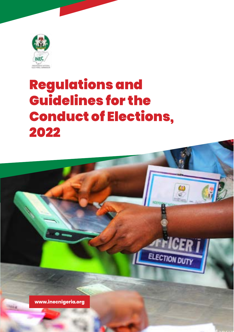

# Regulations and Guidelines for the Conduct of Elections, 2022



1 REGULATIONS AND GUIDELINES FOR THE CONDUCT OF ELECTIONS

**TEICER** 

ELECTION DUTY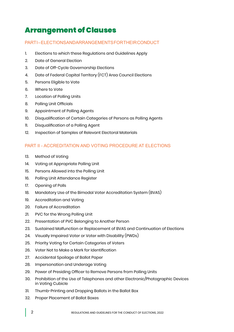## Arrangement of Clauses

#### PARTI-FLECTIONS AND ARRANGEMENTS FOR THEIR CONDUCT

- 1. Elections to which these Regulations and Guidelines Apply
- 2. Date of General Election
- 3. Date of Off-Cycle Governorship Elections
- 4. Date of Federal Capital Territory (FCT) Area Council Elections
- 5. Persons Eligible to Vote
- 6. Where to Vote
- 7. Location of Polling Units
- 8. Polling Unit Officials
- 9. Appointment of Polling Agents
- 10. Disqualification of Certain Categories of Persons as Polling Agents
- 11. Disqualification of a Polling Agent
- 12. Inspection of Samples of Relevant Electoral Materials

#### PART II - ACCREDITATION AND VOTING PROCEDURE AT ELECTIONS

- 13. Method of Voting
- 14. Voting at Appropriate Polling Unit
- 15. Persons Allowed into the Polling Unit
- 16. Polling Unit Attendance Register
- 17. Opening of Polls
- 18. Mandatory Use of the Bimodal Voter Accreditation System (BVAS)
- 19. Accreditation and Voting
- 20. Failure of Accreditation
- 21. PVC for the Wrong Polling Unit
- 22. Presentation of PVC Belonging to Another Person
- 23. Sustained Malfunction or Replacement of BVAS and Continuation of Elections
- 24. Visually Impaired Voter or Voter with Disability (PWDs)
- 25. Priority Voting for Certain Categories of Voters
- 26. Voter Not to Make a Mark for Identification
- 27. Accidental Spoilage of Ballot Paper
- 28. Impersonation and Underage Voting
- 29. Power of Presiding Officer to Remove Persons from Polling Units
- 30. Prohibition of the Use of Telephones and other Electronic/Photographic Devices in Voting Cubicle
- 31. Thumb-Printing and Dropping Ballots in the Ballot Box
- 32. Proper Placement of Ballot Boxes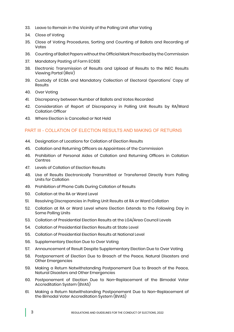- 33. Leave to Remain in the Vicinity of the Polling Unit after Voting
- 34. Close of Voting
- 35. Close of Voting Procedures, Sorting and Counting of Ballots and Recording of Votes
- 36. Counting of Ballot Papers without the Official Mark Prescribed by the Commission
- 37. Mandatory Pasting of Form EC60E
- 38. Electronic Transmission of Results and Upload of Results to the INEC Results Viewing Portal (IReV)
- 39. Custody of EC8A and Mandatory Collection of Electoral Operations' Copy of Results
- 40. Over Voting
- 41. Discrepancy between Number of Ballots and Votes Recorded
- 42. Consideration of Report of Discrepancy in Polling Unit Results by RA/Ward Collation Officer
- 43. Where Election is Cancelled or Not Held

#### PART III - COLLATION OF ELECTION RESULTS AND MAKING OF RETURNS

- 44. Designation of Locations for Collation of Election Results
- 45. Collation and Returning Officers as Appointees of the Commission
- 46. Prohibition of Personal Aides of Collation and Returning Officers in Collation Centres
- 47. Levels of Collation of Election Results
- 48. Use of Results Electronically Transmitted or Transferred Directly from Polling Units for Collation
- 49. Prohibition of Phone Calls During Collation of Results
- 50. Collation at the RA or Ward Level
- 51. Resolving Discrepancies in Polling Unit Results at RA or Ward Collation
- 52. Collation at RA or Ward Level where Election Extends to the Following Day in Some Polling Units
- 53. Collation of Presidential Election Results at the LGA/Area Council Levels
- 54. Collation of Presidential Election Results at State Level
- 55. Collation of Presidential Election Results at National Level
- 56. Supplementary Election Due to Over Voting
- 57. Announcement of Result Despite Supplementary Election Due to Over Voting
- 58. Postponement of Election Due to Breach of the Peace, Natural Disasters and Other Emergencies
- 59. Making a Return Notwithstanding Postponement Due to Breach of the Peace, Natural Disasters and Other Emergencies
- 60. Postponement of Election Due to Non-Replacement of the Bimodal Voter Accreditation System (BVAS)
- 61. Making a Return Notwithstanding Postponement Due to Non-Replacement of the Bimodal Voter Accreditation System (BVAS)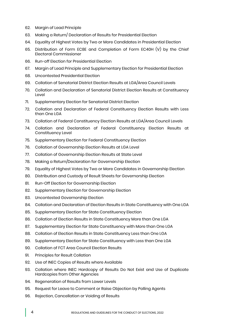- 62. Margin of Lead Principle
- 63. Making a Return/ Declaration of Results for Presidential Election
- 64. Equality of Highest Votes by Two or More Candidates in Presidential Election
- 65. Distribution of Form EC8E and Completion of Form EC40H (V) by the Chief Electoral Commissioner
- 66. Run-off Election for Presidential Election
- 67. Margin of Lead Principle and Supplementary Election for Presidential Election
- 68. Uncontested Presidential Election
- 69. Collation of Senatorial District Election Results at LGA/Area Council Levels
- 70. Collation and Declaration of Senatorial District Election Results at Constituency Level
- 71. Supplementary Election for Senatorial District Election
- 72. Collation and Declaration of Federal Constituency Election Results with Less than One LGA
- 73. Collation of Federal Constituency Election Results at LGA/Area Council Levels
- 74. Collation and Declaration of Federal Constituency Election Results at Constituency Level
- 75. Supplementary Election for Federal Constituency Election
- 76. Collation of Governorship Election Results at LGA Level
- 77. Collation of Governorship Election Results at State Level
- 78. Making a Return/Declaration for Governorship Election
- 79. Equality of Highest Votes by Two or More Candidates in Governorship Election
- 80. Distribution and Custody of Result Sheets for Governorship Election
- 81. Run-Off Election for Governorship Election
- 82. Supplementary Election for Governorship Election
- 83. Uncontested Governorship Election
- 84. Collation and Declaration of Election Results in State Constituency with One LGA
- 85. Supplementary Election for State Constituency Election
- 86. Collation of Election Results in State Constituency More than One LGA
- 87. Supplementary Election for State Constituency with More than One LGA
- 88. Collation of Election Results in State Constituency Less than One LGA
- 89. Supplementary Election for State Constituency with Less than One LGA
- 90. Collation of FCT Area Council Election Results
- 91. Principles for Result Collation
- 92. Use of INEC Copies of Results where Available
- 93. Collation where INEC Hardcopy of Results Do Not Exist and Use of Duplicate Hardcopies from Other Agencies
- 94. Regeneration of Results from Lower Levels
- 95. Request for Leave to Comment or Raise Objection by Polling Agents
- 96. Rejection, Cancellation or Voiding of Results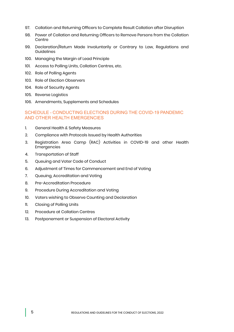- 97. Collation and Returning Officers to Complete Result Collation after Disruption
- 98. Power of Collation and Returning Officers to Remove Persons from the Collation Centre
- 99. Declaration/Return Made Involuntarily or Contrary to Law, Regulations and Guidelines
- 100. Managing the Margin of Lead Principle
- 101. Access to Polling Units, Collation Centres, etc.
- 102. Role of Polling Agents
- 103. Role of Election Observers
- 104. Role of Security Agents
- 105. Reverse Logistics
- 106. Amendments, Supplements and Schedules

#### SCHEDULE - CONDUCTING ELECTIONS DURING THE COVID-19 PANDEMIC AND OTHER HEALTH EMERGENCIES

- 1. General Health & Safety Measures
- 2. Compliance with Protocols Issued by Health Authorities
- 3. Registration Area Camp (RAC) Activities in COVID-19 and other Health **Emergencies**
- 4. Transportation of Staff
- 5. Oueuing and Voter Code of Conduct
- 6. Adjustment of Times for Commencement and End of Voting
- 7. Queuing, Accreditation and Voting
- 8. Pre-Accreditation Procedure
- 9. Procedure During Accreditation and Voting
- 10. Voters wishing to Observe Counting and Declaration
- 11. Closing of Polling Units
- 12. Procedure at Collation Centres
- 13. Postponement or Suspension of Electoral Activity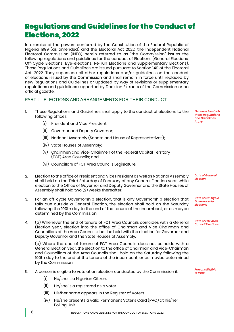### Regulations and Guidelines for the Conduct of Elections, 2022

In exercise of the powers conferred by the Constitution of the Federal Republic of Nigeria 1999 (as amended) and the Electoral Act 2022, the Independent National Electoral Commission (INEC) herein referred to as "the Commission" issues the following regulations and guidelines for the conduct of Elections (General Elections, Off-Cycle Elections, Bye-elections, Re-run Elections and Supplementary Elections). These Regulations and Guidelines are issued pursuant to Section 149 of the Electoral Act, 2022. They supersede all other regulations and/or guidelines on the conduct of elections issued by the Commission and shall remain in force until replaced by new Regulations and Guidelines or updated by way of revisions or supplementary regulations and guidelines supported by Decision Extracts of the Commission or an official gazette.

#### PART I – ELECTIONS AND ARRANGEMENTS FOR THEIR CONDUCT

- 1. These Regulations and Guidelines shall apply to the conduct of elections to the following offices:
	- (i) President and Vice President;
	- (ii) Governor and Deputy Governor;
	- (iii) National Assembly (Senate and House of Representatives);
	- (iv) State Houses of Assembly;
	- (v) Chairmen and Vice-Chairmen of the Federal Capital Territory (FCT) Area Councils; and
	- (vi) Councillors of FCT Area Councils Legislature.
- 2. Election to the office of President and Vice President as well as National Assembly shall hold on the Third Saturday of February of any General Election year, while election to the Office of Governor and Deputy Governor and the State Houses of Assembly shall hold two (2) weeks thereafter.
- 3. For an off-cycle Governorship election, that is any Governorship election that falls due outside a General Election, the election shall hold on the Saturday following the 100th day to the end of the tenure of the incumbent, or as maybe determined by the Commission.
- 4. (a) Whenever the end of tenure of FCT Area Councils coincides with a General Election year, election into the office of Chairman and Vice Chairman and Councillors of the Area Councils shall be held with the election for Governor and Deputy Governor and the State Houses of Assembly.

(b) Where the end of tenure of FCT Area Councils does not coincide with a General Election year, the election to the office of Chairman and Vice-Chairman and Councillors of the Area Councils shall hold on the Saturday following the 100th day to the end of the tenure of the incumbent, or as maybe determined by the Commission.

- 5. A person is eligible to vote at an election conducted by the Commission if:
	- (i) He/she is a Nigerian Citizen.
	- (ii) He/she is a registered as a voter.
	- (iii) His/her name appears in the Register of Voters.
	- (iv) He/she presents a valid Permanent Voter's Card (PVC) at his/her Polling Unit.

*Elections to which these Regulations and Guidelines Apply*

*Date of General Election*

*Date of Off-Cycle Governorship Elections*

*Date of FCT Area Council Elections*

*Persons Eligible to Vote*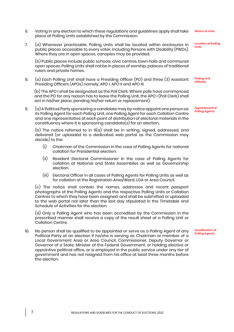- 6. Voting in any election to which these regulations and guidelines apply shall take place at Polling Units established by the Commission.
- 7. (a) Whenever practicable, Polling Units shall be located within enclosures in public places accessible to every voter, including Persons with Disability (PWDs). Where they are in open spaces, canopies may be provided.

(b) Public places include public schools, civic centres, town halls and communal open spaces. Polling Units shall not be in places of worship, palaces of traditional rulers and private homes.

8. (a) Each Polling Unit shall have a Presiding Officer (PO) and three (3) Assistant Presiding Officers (APOs) namely, APO I, APO II and APO III.

(b) The APO I shall be designated as the Poll Clerk. Where polls have commenced and the PO for any reason has to leave the Polling Unit, the APO I (Poll Clerk) shall act in his/her place, pending his/her return or replacement).

9. (a) A Political Party sponsoring a candidate may by notice appoint one person as its Polling Agent for each Polling Unit, one Polling Agent for each Collation Centre and one representative at each point of distribution of electoral materials in the constituency where it is sponsoring candidate(s) for an election..

(b) The notice referred to in  $9(a)$  shall be in writing, signed, addressed, and delivered (or uploaded to a dedicated web portal as the Commission may decide) to the:

- (i) Chairman of the Commission in the case of Polling Agents for national collation for Presidential election.
- (ii) Resident Electoral Commissioner in the case of Polling Agents for collation at National and State Assemblies as well as Governorship election.
- (iii) Electoral Officer in all cases of Polling Agents for Polling Units as well as for collation at the Registration Area/Ward, LGA or Area Council.

(c) The notice shall contain the names, addresses and recent passport photographs of the Polling Agents and the respective Polling Units or Collation Centres to which they have been assigned, and shall be submitted or uploaded to the web portal not later than the last day stipulated in the Timetable and Schedule of Activities for the election.

(d) Only a Polling Agent who has been accredited by the Commission in the prescribed manner shall receive a copy of the result sheet at a Polling Unit or Collation Centre.

10. No person shall be qualified to be appointed or serve as a Polling Agent of any Political Party at an election if he/she is serving as Chairman or member of a Local Government Area or Area Council, Commissioner, Deputy Governor or Governor of a State, Minister of the Federal Government, or holding elective or appointive political office, or is employed in the public service under any tier of government and has not resigned from his office at least three months before the election.

*Appointment of Polling Agents*

*Polling Unit Officials*

*Where to Vote*

*Location of Polling Units*

*Qualification of Polling Agents*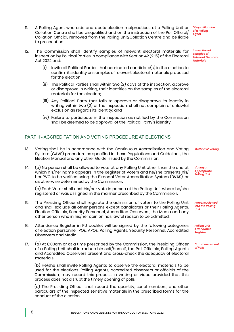- 11. A Polling Agent who aids and abets election malpractices at a Polling Unit or Collation Centre shall be disqualified and on the instruction of the Poll Official/ Collation Official, removed from the Polling Unit/Collation Centre and be liable to prosecution.
- 12. The Commission shall identify samples of relevant electoral materials for inspection by Political Parties in compliance with Section 42  $(2-5)$  of the Electoral Act  $2022$  and:
	- (i) Invite all Political Parties that nominated candidate(s) in the election to confirm its identity on samples of relevant electoral materials proposed for the election;
	- (ii) The Political Parties shall within two (2) days of the inspection, approve or disapprove in writing, their identities on the samples of the electoral materials for the election;
	- (iii) Any Political Party that fails to approve or disapprove its identity in writing within two (2) of the inspection, shall not complain of unlawful exclusion as regards its identity; and
	- (iv) Failure to participate in the inspection as notified by the Commission shall be deemed to be approval of the Political Party's identity.

#### PART II - ACCREDITATION AND VOTING PROCEDURE AT ELECTIONS

- 13. Voting shall be in accordance with the Continuous Accreditation and Voting System (CAVS) procedure as specified in these Regulations and Guidelines, the Election Manual and any other Guide issued by the Commission.
- 14.  $(a)$  No person shall be allowed to vote at any Polling Unit other than the one at which his/her name appears in the Register of Voters and he/she presents his/ her PVC to be verified using the Bimodal Voter Accreditation System (BVAS), or as otherwise determined by the Commission.

(b) Each Voter shall cast his/her vote in person at the Polling Unit where he/she registered or was assigned, in the manner prescribed by the Commission.

- 15. The Presiding Officer shall regulate the admission of voters to the Polling Unit and shall exclude all other persons except candidates or their Polling Agents, Election Officials, Security Personnel, Accredited Observers, the Media and any other person who in his/her opinion has lawful reason to be admitted.
- 16. Attendance Register in PU booklet will be signed by the following categories of election personnel: POs, APOs, Polling Agents, Security Personnel, Accredited Observers and Media.
- 17. (a) At 8:00am or at a time prescribed by the Commission, the Presiding Officer of a Polling Unit shall introduce himself/herself, the Poll Officials, Polling Agents and Accredited Observers present and cross-check the adequacy of electoral materials.

(b) He/she shall invite Polling Agents to observe the electoral materials to be used for the elections. Polling Agents, accredited observers or officials of the Commission, may record this process in writing or video provided that this process does not disrupt the timely opening of polls.

(c) The Presiding Officer shall record the quantity, serial numbers, and other particulars of the inspected sensitive materials in the prescribed forms for the conduct of the election.

*Disqualification of a Polling Agent*

*Inspection of Samples of Relevant Electoral Materials*

*Method of Voting*

*Voting at Appropriate Polling Unit*

*Persons Allowed into the Polling Unit*

*Polling Unit Attendance Register*

*Commencement of Polls*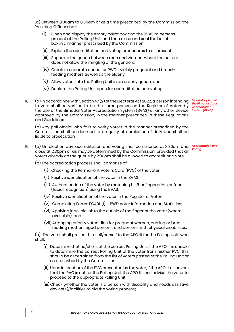(d) Between 8:00am to 8:30am or at a time prescribed by the Commission, the Presiding Officer shall:

- (i) Open and display the empty ballot box and the BVAS to persons present at the Polling Unit, and then close and seal the ballot box in a manner prescribed by the Commission;
- (ii) Explain the accreditation and voting procedures to all present;
- (iii) Separate the queue between men and women, where the culture does not allow the mingling of the genders;
- (iv) Create a separate queue for PWDs, visibly pregnant and breastfeeding mothers as well as the elderly;
- (v) Allow voters into the Polling Unit in an orderly queue; and
- (vi) Declare the Polling Unit open for accreditation and voting.
- 18. (a) In accordance with Section 47 (2) of the Electoral Act 2022, a person intending to vote shall be verified to be the same person on the Register of Voters by the use of the Bimodal Voter Accreditation System (BVAS) or any other device *System (BVAS)* approved by the Commission, in the manner prescribed in these Regulations and Guidelines.

(b) Any poll official who fails to verify voters in the manner prescribed by the Commission shall be deemed to be guilty of dereliction of duty and shall be liable to prosecution.

*Accreditation and Voting* 19. (a) On election day, accreditation and voting shall commence at 8.30am and close at 2:30pm or as maybe determined by the Commission, provided that all voters already on the queue by 2:30pm shall be allowed to accredit and vote.

*Mandatory Use of the Bimodal Voter Accreditation* 

- (b) The accreditation process shall comprise of:
	- (i) Checking the Permanent Voter's Card (PVC) of the voter;
	- (ii) Positive identification of the voter in the BVAS;
	- (iii) Authentication of the voter by matching his/her fingerprints or face (facial recognition) using the BVAS;
	- (iv) Positive identification of the voter in the Register of Voters;
	- (v) Completing Forms EC40H(I) PWD Voter Information and Statistics;
	- (vi) Applying indelible ink to the cuticle of the finger of the voter (where available); and
	- (vii) Arranging priority voters' line for pregnant women, nursing or breast feeding mothers aged persons, and persons with physical disabilities.

(c) The voter shall present himself/herself to the APO III for the Polling Unit who shall:

- (i) Determine that he/she is at the correct Polling Unit. If the APO III is unable to determine the correct Polling Unit of the voter from his/her PVC, this should be ascertained from the list of voters pasted at the Polling Unit or as prescribed by the Commission;
- (ii) Upon inspection of the PVC presented by the voter, if the APO III discovers that the PVC is not for the Polling Unit, the APO III shall advise the voter to proceed to the appropriate Polling Unit;
- (iii) Check whether the voter is a person with disability and needs assistive device(s)/facilities to aid the voting process;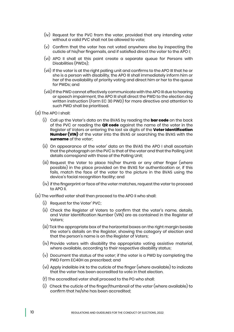- (iv) Request for the PVC from the voter, provided that any intending voter without a valid PVC shall not be allowed to vote;
- (v) Confirm that the voter has not voted anywhere else by inspecting the cuticle of his/her fingernails, and if satisfied direct the voter to the APO I;
- (vi) APO II shall at this point create a separate queue for Persons with Disabilities (PWDs);
- (vii) If the voter is at the right polling unit and confirms to the APO III that he or she is a person with disability, the APO III shall immediately inform him or her of the availability of priority voting and direct him or her to the queue for PWDs; and
- (viii) If the PWD cannot effectively communicate with the APO III due to hearing or speech impairment, the APO III shall direct the PWD to the election day written instruction (Form EC 30 PWD) for more directive and attention to such PWD shall be prioritised.
- (d) The APO I shall:
	- (i) Call up the Voter's data on the BVAS by reading the **bar code** on the back of the PVC or reading the **QR code** against the name of the voter in the Register of Voters or entering the last six digits of the **Voter Identification Number (VIN)** of the voter into the BVAS or searching the BVAS with the **surname** of the voter;
	- (ii) On appearance of the voter' data on the BVAS the APO I shall ascertain that the photograph on the PVC is that of the voter and that the Polling Unit details correspond with those of the Polling Unit;
	- (iii) Request the Voter to place his/her thumb or any other finger (where possible) in the place provided on the BVAS for authentication or, if this fails, match the face of the voter to the picture in the BVAS using the device's facial recognition facility; and
	- (iv) if the fingerprint or face of the voter matches, request the voter to proceed to APO II.
- (e) The verified voter shall then proceed to the APO II who shall:
	- (i) Request for the Voter' PVC;
	- (ii) Check the Register of Voters to confirm that the voter's name, details, and Voter Identification Number (VIN) are as contained in the Register of Voters;
	- (iii) Tick the appropriate box of the horizontal boxes on the right margin beside the voter's details on the Register, showing the category of election and that the person's name is on the Register of Voters;
	- (iv) Provide voters with disability the appropriate voting assistive material, where available, according to their respective disability status;
	- (v) Document the status of the voter; if the voter is a PWD by completing the PWD Form EC40H as prescribed; and
	- (vi) Apply indelible ink to the cuticle of the finger (where available) to indicate that the voter has been accredited to vote in that election.
	- (f) The accredited voter shall proceed to the PO who shall:
	- (i) Check the cuticle of the finger/thumbnail of the voter (where available) to confirm that he/she has been accredited;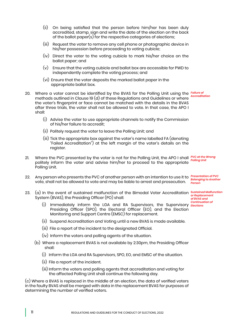- (ii) On being satisfied that the person before him/her has been duly accredited, stamp, sign and write the date of the election on the back of the ballot paper(s) for the respective categories of elections;
- (iii) Request the voter to remove any cell phone or photographic device in his/her possession before proceeding to voting cubicle;
- (iv) Direct the voter to the voting cubicle to mark his/her choice on the ballot paper; and
- (v) Ensure that the voting cubicle and ballot box are accessible for PWD to independently complete the voting process; and
- (vi) Ensure that the voter deposits the marked ballot paper in the appropriate ballot box.
- 20. Where a voter cannot be identified by the BVAS for the Polling Unit using the methods outlined in Clause 19 (d) of these Regulations and Guidelines or where the voter's fingerprint or face cannot be matched with the details in the BVAS after three trials, the voter shall not be allowed to vote. In that case, the APO I shall: *Failure of Accreditation*
	- (i) Advise the voter to use appropriate channels to notify the Commission of his/her failure to accredit;
	- (ii) Politely request the voter to leave the Polling Unit; and
	- (iii) Tick the appropriate box against the voter's name labelled FA (denoting "Failed Accreditation") at the left margin of the voter's details on the register.
- 21. Where the PVC presented by the voter is not for the Polling Unit, the APO I shall *PVC at the Wrong*  politely inform the voter and advise him/her to proceed to the appropriate Polling Unit. *Polling Unit*
- 22. Any person who presents the PVC of another person with an intention to use it to *Presentation of PVC Belonging to Another*  vote, shall not be allowed to vote and may be liable to arrest and prosecution. *Person*
- *Sustained Malfunction*  23. (a) In the event of sustained malfunction of the Bimodal Voter Accreditation System (BVAS), the Presiding Officer (PO) shall:
	- *Continuation of Elections* (i) Immediately inform the LGA and RA Supervisors, the Supervisory Presiding Officer (SPO), the Electoral Officer (EO), and the Election Monitoring and Support Centre (EMSC) for replacement.

*or Replacement of BVAS and* 

- (ii) Suspend Accreditation and Voting until a new BVAS is made available.
- (iii) File a report of the incident to the designated Official.
- (iv) Inform the voters and polling agents of the situation.
- (b) Where a replacement BVAS is not available by 2:30pm, the Presiding Officer shall:
	- (i) Inform the LGA and RA Supervisors, SPO, EO, and EMSC of the situation.
	- (ii) File a report of the incident.
	- (iii) Inform the voters and polling agents that accreditation and voting for the affected Polling Unit shall continue the following day.

(c) Where a BVAS is replaced in the middle of an election, the data of verified voters in the faulty BVAS shall be merged with data in the replacement BVAS for purposes of determining the number of verified voters.

11 REGULATIONS AND GUIDELINES FOR THE CONDUCT OF ELECTIONS, 2022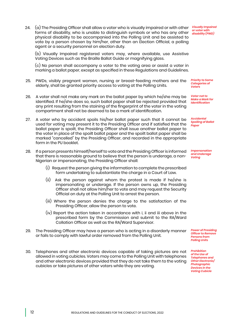24.  $(a)$  The Presiding Officer shall allow a voter who is visually impaired or with other forms of disability, who is unable to distinguish symbols or who has any other physical disability to be accompanied into the Polling Unit and be assisted to vote by a person chosen by him/her, other than an Election Official, a polling agent or a security personnel on election duty.

(b) Visually Impaired registered voters may, where available, use Assistive Voting Devices such as the Braille Ballot Guide or magnifying glass.

(c) No person shall accompany a voter to the voting area or assist a voter in marking a ballot paper, except as specified in these Regulations and Guidelines.

- 25. PWDs, visibly pregnant women, nursing or breast-feeding mothers and the elderly, shall be granted priority access to voting at the Polling Units.
- 26. A voter shall not make any mark on the ballot paper by which he/she may be identified. If he/she does so, such ballot paper shall be rejected provided that any print resulting from the staining of the fingerprint of the voter in the voting compartment shall not be deemed to be a mark of identification.
- 27. A voter who by accident spoils his/her ballot paper such that it cannot be used for voting may present it to the Presiding Officer and if satisfied that the ballot paper is spoilt, the Presiding Officer shall issue another ballot paper to the voter in place of the spoilt ballot paper and the spoilt ballot paper shall be marked "cancelled" by the Presiding Officer, and recorded in the appropriate form in the PU booklet.
- 28. If a person presents himself/herself to vote and the Presiding Officer is informed that there is reasonable ground to believe that the person is underage, a non-Nigerian or impersonating, the Presiding Officer shall:
	- (i) Request the person giving the information to complete the prescribed form undertaking to substantiate the charge in a Court of Law.
	- (ii) Ask the person against whom the protest is made if he/she is impersonating or underage. If the person owns up, the Presiding Officer shall not allow him/her to vote and may request the Security Official on duty at the Polling Unit to arrest the person.
	- (iii) Where the person denies the charge to the satisfaction of the Presiding Officer, allow the person to vote.
	- (iv) Report the action taken in accordance with i, ii and iii above in the prescribed form by the Commission and submit to the RA/Ward Collation Officer as well as the RA/Ward Supervisor.
- 29. The Presiding Officer may have a person who is acting in a disorderly manner or fails to comply with lawful order removed from the Polling Unit.
- 30. Telephones and other electronic devices capable of taking pictures are not allowed in voting cubicles. Voters may come to the Polling Unit with telephones and other electronic devices provided that they do not take them to the voting cubicles or take pictures of other voters while they are voting.

*Visually Impaired or voter with disability (PWD)* 

*Priority to Some Categories of Voters*

*Voter not to Make a Mark for Identification*

*Accidental Spoiling of Ballot Paper*

*Impersonation and Underage Voting*

*Power of Presiding Officer to Remove Persons from Polling Units*

*Prohibition of the Use of Telephones and Other Electronic/ Photographic Devices in the Voting Cubicle*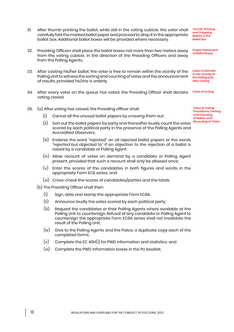13 REGULATIONS AND GUIDELINES FOR THE CONDUCT OF ELECTIONS, 2022

- 31. After thumb-printing the ballot, while still in the voting cubicle, the voter shall carefully fold the marked ballot paper and proceed to drop it in the appropriate ballot box. Additional ballot boxes will be provided where necessary.
- 32. Presiding Officers shall place the ballot boxes not more than two meters away from the voting cubicle, in the direction of the Presiding Officers and away from the Polling Agents.
- 33. After casting his/her ballot, the voter is free to remain within the vicinity of the Polling Unit to witness the sorting and counting of votes and the announcement of results, provided he/she is orderly.
- 34. After every voter on the queue has voted, the Presiding Officer shall declare *Close of Voting* voting closed.
- 35. (a) After voting has closed, the Presiding officer shall:
	- (i) Cancel all the unused ballot papers by crossing them out;
	- *Recording of Votes* (ii) Sort out the ballot papers by party and thereafter loudly count the votes scored by each political party in the presence of the Polling Agents and Accredited Observers;
	- (iii) Endorse the word "rejected" on all rejected ballot papers or the words "rejected but objected to" if an objection to the rejection of a ballot is raised by a candidate or Polling Agent;
	- (iv) Allow recount of votes on demand by a candidate or Polling Agent present, provided that such a recount shall only be allowed once;
	- (v) Enter the scores of the candidates in both figures and words in the appropriate Form EC8 series; and
	- (vi) Cross-check the scores of candidates/parties and the totals.
	- (b) The Presiding Officer shall then:
		- (i) Sign, date and stamp the appropriate Form EC8A;
		- (ii) Announce loudly the votes scored by each political party;
		- (iii) Request the candidates or their Polling Agents where available at the Polling Unit to countersign. Refusal of any candidate or Polling Agent to countersign the appropriate Form EC8A series shall not invalidate the result of the Polling Unit;
		- (iv) Give to the Polling Agents and the Police, a duplicate copy each of the completed forms;
		- $(v)$  Complete the EC 40H(I) for PWD information and statistics; and
		- (vi) Complete the PWD information boxes in the PU booklet.

*Thumb-Printing and Dropping Ballots in the Ballot Box*

*Proper Placement of Ballot Boxes*

*Leave to Remain in the Vicinity of the Polling Unit after Voting*

*Close of Voting Procedures, Sorting and Counting of Ballots and*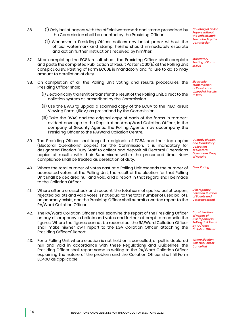- 36. (i) Only ballot papers with the official watermark and stamp prescribed by the Commission shall be counted by the Presiding Officer.
	- (ii) Whenever a Presiding Officer notices any ballot paper without the official watermark and stamp, he/she should immediately escalate and act on further instructions received by him/her.
- 37. After completing the EC8A result sheet, the Presiding Officer shall complete and paste the completed Publication of Result Poster EC60(E) at the Polling Unit conspicuously. Pasting of Form EC60E is mandatory and failure to do so may amount to dereliction of duty.
- 38. On completion of all the Polling Unit voting and results procedures, the Presiding Officer shall:
	- (i) Electronically transmit or transfer the result of the Polling Unit, direct to the *to IReV* collation system as prescribed by the Commission.
	- (ii) Use the BVAS to upload a scanned copy of the EC8A to the INEC Result Viewing Portal (IReV), as prescribed by the Commission.
	- (iii) Take the BVAS and the original copy of each of the forms in tamperevident envelope to the Registration Area/Ward Collation Officer, in the company of Security Agents. The Polling Agents may accompany the Presiding Officer to the RA/Ward Collation Centre.
- 39. The Presiding Officer shall keep the originals of EC8A and their top copies (Electoral Operations' copies) for the Commission. It is mandatory for designated Election Duty Staff to collect and deposit all Electoral Operations copies of results with their Supervisors within the prescribed time. Noncompliance shall be treated as dereliction of duty.
- 40. Where the total number of votes cast at a Polling Unit exceeds the number of accredited voters at the Polling Unit, the result of the election for that Polling Unit shall be declared null and void, and a report in that regard shall be made to the Collation Officer.
- 41. Where after a crosscheck and recount, the total sum of spoiled ballot papers, rejected ballots and valid votes is not equal to the total number of used ballots, an anomaly exists, and the Presiding Officer shall submit a written report to the RA/Ward Collation Officer.
- 42. The RA/Ward Collation Officer shall examine the report of the Presiding Officer on any discrepancy in ballots and votes and further attempt to reconcile the figures. Where the figures cannot be reconciled, the RA/Ward Collation Officer shall make his/her own report to the LGA Collation Officer, attaching the Presiding Officers' Report.
- 43. For a Polling Unit where election is not held or is cancelled, or poll is declared null and void in accordance with these Regulations and Guidelines, the Presiding Officer shall report same in writing to the RA/Ward Collation Officer explaining the nature of the problem and the Collation Officer shall fill Form EC40G as applicable.

*Counting of Ballot Papers without the Official Mark Prescribed by the Commission*

*Mandatory Pasting of Form EC60E*

*Electronic Transmission of Results and Upload of Results* 

*Custody of EC8A and Mandatory Collection of Electoral Operations Copy of Results*

*Over Voting*

*Discrepancy between Number of Ballots and Votes Recorded*

*Consideration of Report of Discrepancy in Polling Unit Result by RA/Ward Collation Officer*

*Where Election was Not Held or Cancelled*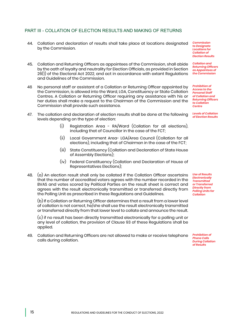#### PART III - COLLATION OF ELECTION RESULTS AND MAKING OF RETURNS

- 44. Collation and declaration of results shall take place at locations designated by the Commission.
- 45. Collation and Returning Officers as appointees of the Commission, shall abide by the oath of loyalty and neutrality for Election Officials, as provided in Section 26(1) of the Electoral Act 2022, and act in accordance with extant Regulations and Guidelines of the Commission.
- 46 No personal staff or assistant of a Collation or Returning Officer appointed by the Commission, is allowed into the Ward, LGA, Constituency or State Collation Centres. A Collation or Returning Officer requiring any assistance with his or her duties shall make a request to the Chairman of the Commission and the Commission shall provide such assistance.
- 47. The collation and declaration of election results shall be done at the following levels depending on the type of election:
	- (i) Registration Area RA/Ward (Collation for all elections), including that of Councillor in the case of the FCT;
	- (ii) Local Government Area- LGA/Area Council (Collation for all elections), including that of Chairman in the case of the FCT;
	- (iii) State Constituency (Collation and Declaration of State House of Assembly Elections);
	- (iv) Federal Constituency (Collation and Declaration of House of Representatives Elections);
- 48. (a) An election result shall only be collated if the Collation Officer ascertains that the number of accredited voters agrees with the number recorded in the BVAS and votes scored by Political Parties on the result sheet is correct and agrees with the result electronically transmitted or transferred directly from the Polling Unit as prescribed in these Regulations and Guidelines.

(b) If a Collation or Returning Officer determines that a result from a lower level of collation is not correct, he/she shall use the result electronically transmitted or transferred directly from that lower level to collate and announce the result.

(c) if no result has been directly transmitted electronically for a polling unit or any level of collation, the provision of Clause 93 of these Regulations shall be applied.

49. Collation and Returning Officers are not allowed to make or receive telephone calls during collation.

*Commission to Designate Locations for Collation of Election Results*

*Collation and Returning Officers as Appointees of the Commission*

*Prohibition of Access to the Personal Staff of Collation and Returning Officers to Collation Centre*

*Levels of Collation of Election Results*

*Use of Results Electronically Transmitted or Transferred Directly from Polling Units for Collation*

*Prohibition of Phone Calls During Collation of Results*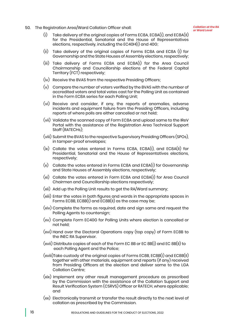*or Ward Level* 50. The Registration Area/Ward Collation Officer shall:

- (i) Take delivery of the original copies of Forms EC8A, EC8A(I), and EC8A(II) for the Presidential, Senatorial and the House of Representatives elections, respectively, including the EC40H(I) and 40G;
- (ii) Take delivery of the original copies of Forms EC8A and EC8A (I) for Governorship and the State Houses of Assembly elections, respectively;
- (iii) Take delivery of Forms EC8A and EC8A(I) for the Area Council Chairmanship and Councillorship elections of the Federal Capital Territory (FCT) respectively;
- (iv) Receive the BVAS from the respective Presiding Officers;
- (v) Compare the number of voters verified by the BVAS with the number of accredited voters and total votes cast for the Polling Unit as contained in the Form EC8A series for each Polling Unit;
- (vi) Receive and consider, if any, the reports of anomalies, adverse incidents and equipment failure from the Presiding Officers, including reports of where polls are either cancelled or not held;
- (vii) Validate the scanned copy of Form EC8A and upload same to the IReV Portal with the assistance of the Registration Area Technical Support Staff (RATECHs);
- (viii) Submit the BVAS to the respective Supervisory Presiding Officers (SPOs), in tamper-proof envelopes;
- (ix) Collate the votes entered in Forms EC8A, EC8A(I), and EC8A(II) for Presidential, Senatorial and the House of Representatives elections, respectively;
- (x) Collate the votes entered in Forms EC8A and EC8A(I) for Governorship and State Houses of Assembly elections, respectively;
- (xi) Collate the votes entered in Form EC8A and EC8A(I) for Area Council Chairmen and Councillorship elections respectively;
- (xii) Add up the Polling Unit results to get the RA/Ward summary;
- (xiii) Enter the votes in both figures and words in the appropriate spaces in Forms EC8B, EC8B(I) and EC8B(II) as the case may be;
- (xiv) Complete the forms as required, date and sign same and request the Polling Agents to countersign;
- (xv) Complete Form EC40G for Polling Units where election is cancelled or not held;
- (xvi) Hand over the Electoral Operations copy (top copy) of Form EC8B to the INEC RA Supervisor.
- (xvii) Distribute copies of each of the Form EC 8B or EC 8B(I) and EC 8B(II) to each Polling Agent and the Police;
- (xviii)Take custody of the original copies of Forms EC8B, EC8B(I) and EC8B(II) together with other materials, equipment and reports (if any) received from Presiding Officers at the election and deliver same to the LGA Collation Centre;
- (xix) Implement any other result management procedure as prescribed by the Commission with the assistance of the Collation Support and Result Verification System (CSRVS) Officer or RATECH, where applicable; and
- (xx) Electronically transmit or transfer the result directly to the next level of collation as prescribed by the Commission.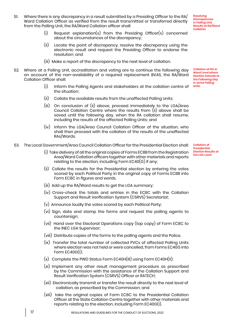- 51. Where there is any discrepancy in a result submitted by a Presiding Officer to the RA/ Ward Collation Officer as verified from the result transmitted or transferred directly from the Polling Unit, the RA/Ward Collation officer shall:
- *Resolving Discrepancies in Polling Unit Results at RA/Ward Collation*

*Collation at RA or Ward Level where Election Extends to the Following Day in some Polling Units*

- Request explanation(s) from the Presiding Officer(s) concerned about the circumstances of the discrepancy;
- (ii) Locate the point of discrepancy, resolve the discrepancy using the electronic result and request the Presiding Officer to endorse the resolution; and
- (iii) Make a report of the discrepancy to the next level of collation.
- 52. Where at a Polling Unit, accreditation and voting are to continue the following day on account of the non-availability of a required replacement BVAS, the RA/Ward Collation Officer shall:
	- (i) Inform the Polling Agents and stakeholders at the collation centre of the situation;
	- (ii) Collate the available results from the unaffected Polling Units;
	- (iii) On conclusion of (ii) above, proceed immediately to the LGA/Area Council Collation Centre where the results from (ii) above shall be saved until the following day, when the RA collation shall resume, including the results of the affected Polling Units; and
	- (iv) Inform the LGA/Area Council Collation Officer of the situation, who shall then proceed with the collation of the results of the unaffected RAs/Wards.
- 53. The Local Government/Area Council Collation Officer for the Presidential Election shall:
	- (i) Take delivery of all the original copies of Forms EC8B from the Registration Area/Ward Collation officers together with other materials and reports relating to the election, including Form  $EC40(G)$  if any;
	- (ii) Collate the results for the Presidential election by entering the votes scored by each Political Party in the original copy of Forms EC8B into Form EC8C in figures and words.
	- (iii) Add up the RA/Ward results to get the LGA summary;
	- (iv) Cross-check the totals and entries in the EC8C with the Collation Support and Result Verification System (CSRVS) Secretariat;
	- (v) Announce loudly the votes scored by each Political Party;
	- (vi) Sign, date and stamp the forms and request the polling agents to countersign;
	- (vii) Hand over the Electoral Operations copy (top copy) of Form EC8C to the INEC LGA Supervisor;
	- (viii) Distribute copies of the forms to the polling agents and the Police.
	- (ix) Transfer the total number of collected PVCs of affected Polling Units where election was not held or were cancelled, from Forms EC40G into Form  $EC40G(1)$ :
	- (x) Complete the PWD Status Form EC40H(III) using Form EC40H(II);
	- (xi) Implement any other result management procedure as prescribed by the Commission with the assistance of the Collation Support and Result Verification System (CSRVS) Officer or RATECH;
	- (xii) Electronically transmit or transfer the result directly to the next level of collation, as prescribed by the Commission; and
	- (xiii) take the original copies of Form EC8C to the Presidential Collation Officer at the State Collation Centre together with other materials and reports relating to the election, including Form EC40G(I).

*Collation of Presidential Election Results at the LGA Level*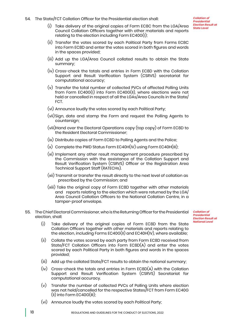54. The State/FCT Collation Officer for the Presidential election shall:

- (i) Take delivery of the original copies of Form EC8C from the LGA/Area Council Collation Officers together with other materials and reports relating to the election including Form EC40G(I);
- (ii) Transfer the votes scored by each Political Party from Forms EC8C into Form EC8D and enter the votes scored in both figures and words in the spaces provided;
- (iii) Add up the LGA/Area Council collated results to obtain the State summary;
- (iv) Cross-check the totals and entries in Form EC8D with the Collation Support and Result Verification System (CSRVS) secretariat for computational accuracy;
- (v) Transfer the total number of collected PVCs of affected Polling Units from Form EC40G(I) into Form EC40G(II), where elections were not held or cancelled in respect of all the LGAs/Area Councils in the State/ FCT.
- (vi) Announce loudly the votes scored by each Political Party;
- (vii)Sign, date and stamp the Form and request the Polling Agents to countersign;
- (viii)Hand over the Electoral Operations copy (top copy) of Form EC8D to the Resident Electoral Commissioner;
- (ix) Distribute copies of Form EC8D to Polling Agents and the Police;
- $(x)$  Complete the PWD Status Form EC40H(IV) using Form EC40H(III);
- (xi) Implement any other result management procedure prescribed by the Commission with the assistance of the Collation Support and Result Verification System (CSRVS) Officer or the Registration Area Technical Support Staff (RATECHs).
- (xii) Transmit or transfer the result directly to the next level of collation as prescribed by the Commission; and
- (xiii) Take the original copy of Form EC8D together with other materials and reports relating to the election which were returned by the LGA/ Area Council Collation Officers to the National Collation Centre, in a tamper-proof envelope.
- 55. The Chief Electoral Commissioner, who is the Returning Officer for the Presidential election, shall:

*Collation of Presidential Election Result at National Level*

- (i) Take delivery of the original copies of Form EC8D from the State Collation Officers together with other materials and reports relating to the election, including Forms EC40G(II) and EC40H(IV), where available;
- (ii) Collate the votes scored by each party from Form EC8D received from State/FCT Collation Officers into Form EC8D(A) and enter the votes scored by each Political Party in both figures and words in the spaces provided;
- (iii) Add up the collated State/FCT results to obtain the national summary;
- (iv) Cross-check the totals and entries in Form EC8D(A) with the Collation Support and Result Verification System (CSRVS) Secretariat for computational accuracy.
- (v) Transfer the number of collected PVCs of Polling Units where election was not held/cancelled for the respective States/FCT from Form EC40G (II) into Form EC40G(III);
- (vi) Announce loudly the votes scored by each Political Party;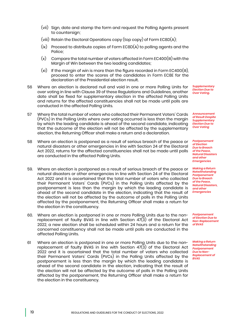- (vii) Sign, date and stamp the form and request the Polling Agents present to countersign;
- (viii) Retain the Electoral Operations copy (top copy) of Form EC8D(A);
- (ix) Proceed to distribute copies of Form EC8D(A) to polling agents and the Police;
- (x) Compare the total number of voters affected in Form EC40G(III) with the Margin of Win between the two leading candidates;
- $(xi)$  If the margin of win is more than the figure recorded in Form EC40G(III), proceed to enter the scores of the candidates in Form EC8E for the declaration of the Presidential election result.
- 56 Where an election is declared null and void in one or more Polling Units for over voting in line with Clause 39 of these Regulations and Guidelines, another date shall be fixed for supplementary election in the affected Polling Units and returns for the affected constituencies shall not be made until polls are conducted in the affected Polling Units.
- *Supplementary Election Due to Over Voting.*
- *Announcement of Result Despite Supplementary Election Due to Over Voting*

*Postponement of Election Due to Breach of the Peace, Natural Disasters and other Emergencies*

*Making a Return Notwithstanding Postponement Due to Breach of the Peace, Natural Disasters, and other Emergencies*

*Postponement of Election Due to Non-Replacement of BVAS*

*Making a Return Notwithstanding Postponement Due to Non-Replacement of BVAS*

- 57 Where the total number of voters who collected their Permanent Voters' Cards (PVCs) in the Polling Units where over voting occurred is less than the margin by which the leading candidate is ahead of the second candidate, indicating that the outcome of the election will not be affected by the supplementary election, the Returning Officer shall make a return and a declaration.
- 58 Where an election is postponed as a result of serious breach of the peace or natural disasters or other emergencies in line with Section 24 of the Electoral Act 2022, returns for the affected constituencies shall not be made until polls are conducted in the affected Polling Units.
- 59. Where an election is postponed as a result of serious breach of the peace or natural disasters or other emergencies in line with Section 24 of the Electoral Act 2022 and it is ascertained that the total number of voters who collected their Permanent Voters' Cards (PVCs) in the Polling Units affected by the postponement is less than the margin by which the leading candidate is ahead of the second candidate in the election, indicating that the result of the election will not be affected by the outcome of polls in the Polling Units affected by the postponement, the Returning Officer shall make a return for the election in the constituency.
- 60. Where an election is postponed in one or more Polling Units due to the nonreplacement of faulty BVAS in line with Section  $47\overline{3}$ ) of the Electoral Act 2022, a new election shall be scheduled within 24 hours and a return for the concerned constituency shall not be made until polls are conducted in the affected Polling Units.
- 61 Where an election is postponed in one or more Polling Units due to the nonreplacement of faulty BVAS in line with Section  $47\overline{3}$  of the Electoral Act 2022 and it is ascertained that the total number of voters who collected their Permanent Voters' Cards (PVCs) in the Polling Units affected by the postponement is less than the margin by which the leading candidate is ahead of the second candidate in the election, indicating that the result of the election will not be affected by the outcome of polls in the Polling Units affected by the postponement, the Returning Officer shall make a return for the election in the constituency.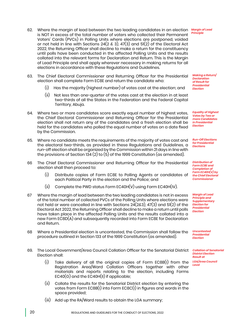- 62. Where the margin of lead between the two leading candidates in an election *Margin of Lead*  is NOT in excess of the total number of voters who collected their Permanent Voters' Cards (PVCs) in Polling Units where elections are postponed, voided or not held in line with Sections  $24(2 \text{ \& } 3)$ ,  $47(3)$  and  $51(2)$  of the Electoral Act 2022, the Returning Officer shall decline to make a return for the constituency until polls have been conducted in the affected Polling Units and the results collated into the relevant forms for Declaration and Return. This is the Margin of Lead Principle and shall apply wherever necessary in making returns for all elections in accordance with these Regulations and Guidelines.
- 63. The Chief Electoral Commissioner and Returning Officer for the Presidential election shall complete Form EC8E and return the candidate who:
	- (i) Has the majority (highest number) of votes cast at the election; and
	- (ii) Not less than one-quarter of the votes cast at the election in at least two-thirds of all the States in the Federation and the Federal Capital Territory, Abuja.
- 64. Where two or more candidates score exactly equal number of highest votes, the Chief Electoral Commissioner and Returning Officer for the Presidential election shall not return any of the candidates and a fresh election shall be held for the candidates who polled the equal number of votes on a date fixed by the Commission.
- 65. Where no candidate meets the requirements of the majority of votes cast and the electoral two-thirds, as provided in these Regulations and Guidelines, a run-off election shall be organized by the Commission within 21 days in line with the provisions of Section 134 (2) to (5) of the 1999 Constitution (as amended).
- 66 The Chief Electoral Commissioner and Returning Officer for the Presidential election shall then proceed to:
	- (i) Distribute copies of Form EC8E to Polling Agents or candidates of each Political Party in the election and the Police; and
	- (ii) Complete the PWD status Form EC40H(V) using Form EC40H(IV).
- 67 Where the margin of lead between the two leading candidates is not in excess of the total number of collected PVCs of the Polling Units where elections were not held or were cancelled in line with Sections 24(2&3), 47(3) and 51(2) of the Electoral Act 2022, the Returning Officer shall decline to make a return until polls have taken place in the affected Polling Units and the results collated into a new Form EC8D(A) and subsequently recorded into Form EC8E for Declaration and Return.
- 68 Where a Presidential election is uncontested, the Commission shall follow the procedure outlined in Section 133 of the 1999 Constitution (as amended).
- 69. The Local Government/Area Council Collation Officer for the Senatorial District Election shall:
	- (i) Take delivery of all the original copies of Form EC8B(I) from the Registration Area/Ward Collation Officers together with other materials and reports relating to the election, including Forms  $EC40(G)$  and the  $EC40H(II)$  if applicable:
	- (ii) Collate the results for the Senatorial District election by entering the votes from Form EC8B(I) into Form EC8C(I) in figures and words in the space provided;
	- (iii) Add up the RA/Ward results to obtain the LGA summary;

*Making a Return/ Declaration of Result for Presidential Election*

*Equality of Highest Votes by Two or more Candidates in Presidential Election*

*Run-Off Elections for Presidential Elections*

*Distribution of Form EC8E and Completion of Form EC40H(V) by the Chief Electoral Commissioner*

*Margin of Lead Principle and Supplementary Election for Presidential Election*

*Uncontested Presidential Election*

*Collation of Senatorial District Election Result at LGA/Area Council Level*

### *Principle*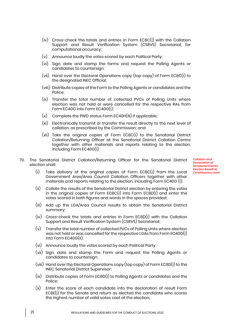- (iv) Cross-check the totals and entries in Form EC8C(I) with the Collation Support and Result Verification System (CSRVS) Secretariat, for computational accuracy;
- (v) Announce loudly the votes scored by each Political Party;
- (vi) Sign, date and stamp the forms and request the Polling Agents or candidates to countersign;
- (vii) Hand over the Electoral Operations copy (top copy) of Form EC8C(I) to the designated INEC Official;
- (viii) Distribute copies of the Form to the Polling Agents or candidates and the Police;
- (ix) Transfer the total number of collected PVCs of Polling Units where election was not held or were cancelled for the respective RAs from Form EC40G into Form EC40G(I);
- $(x)$  Complete the PWD status Form EC40H(III) if applicable;
- (xi) Electronically transmit or transfer the result directly to the next level of collation, as prescribed by the Commission; and
- (xii) Take the original copies of Form EC8C(I) to the Senatorial District Collation/Returning Officer at the Senatorial District Collation Centre together with other materials and reports relating to the election, including Form EC40G(I).
- 70. The Senatorial District Collation/Returning Officer for the Senatorial District election shall:

*Collation and Declaration of Senatorial District Election Result at Constituency Level*

- (i) Take delivery of the original copies of Form EC8C(I) from the Local Government Area/Area Council Collation Officers together with other materials and reports relating to the election, including Form EC40G (I);
- (ii) Collate the results of the Senatorial District election by entering the votes in the original copies of Form EC8C(I) into Form EC8D(I) and enter the votes scored in both figures and words in the spaces provided;
- (iii) Add up the LGA/Area Council results to obtain the Senatorial District summary;
- (iv) Cross-check the totals and entries in Form EC8D(I) with the Collation Support and Result Verification System (CSRVS) Secretariat;
- (v) Transfer the total number of collected PVCs of Polling Units where election was not held or was cancelled for the respective LGAs from Form EC40G(I) into Form EC40G(II);
- (vi) Announce loudly the votes scored by each Political Party;
- (vii) Sign, date and stamp the Form and request the Polling Agents or candidates to countersign;
- (viii) Hand over the Electoral Operations copy (top copy) of Form EC8D(I) to the INEC Senatorial District Supervisor;
- (ix) Distribute copies of Form EC8D(I) to Polling Agents or candidates and the Police;
- (x) Enter the score of each candidate into the declaration of result Form EC8E(I) for the Senate and return as elected the candidate who scores the highest number of valid votes cast at the election;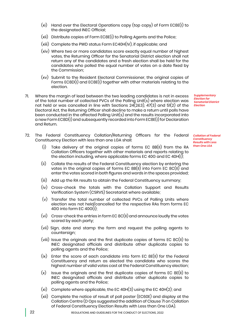- (xi) Hand over the Electoral Operations copy (top copy) of Form EC8E(I) to the designated INEC Official;
- (xii) Distribute copies of Form EC8E(I) to Polling Agents and the Police;
- (xiii) Complete the PWD status Form EC40H(IV), if applicable; and
- (xiv) Where two or more candidates score exactly equal number of highest votes, the Returning Officer for the Senatorial District election shall not return any of the candidates and a fresh election shall be held for the candidates who polled the equal number of votes on a date fixed by the Commission;
- (xv) Submit to the Resident Electoral Commissioner, the original copies of Forms EC8D(I) and EC8E(I) together with other materials relating to the election.
- 71. Where the margin of lead between the two leading candidates is not in excess of the total number of collected PVCs of the Polling Unit(s) where election was not held or was cancelled in line with Sections  $24(283)$ ,  $47(3)$  and  $51(2)$  of the Electoral Act, the Returning Officer shall decline to make a return until polls have been conducted in the affected Polling Unit(s) and the results incorporated into a new Form EC8D(I) and subsequently recorded into Form EC8E(I) for Declaration and Return.
- 72. The Federal Constituency Collation/Returning Officers for the Federal Constituency Election with less than one LGA shall:
	- (i) Take delivery of the original copies of forms EC 8B(II) from the RA Collation Officers together with other materials and reports relating to the election including, where applicable forms EC 40G and EC 40H(I);
	- (ii) Collate the results of the Federal Constituency election by entering the votes in the original copies of forms EC  $8B(II)$  into Form EC  $8C(II)$  and enter the votes scored in both figures and words in the spaces provided;
	- (iii) Add up the RA results to obtain the Federal Constituency summary;
	- (iv) Cross-check the totals with the Collation Support and Results Verification System (CSRVS) Secretariat where available;
	- (v) Transfer the total number of collected PVCs of Polling Units where election was not held/cancelled for the respective RAs from forms EC 40G into form EC 40G(I);
	- (vi) Cross-check the entries in form EC 8C(II) and announce loudly the votes scored by each party;
	- (vii) Sign, date and stamp the form and request the polling agents to countersign;
	- (viii) Issue the originals and the first duplicate copies of forms EC 8C(II) to INEC designated officials and distribute other duplicate copies to polling agents and the Police;
	- (ix) Enter the score of each candidate into form EC 8E(II) for the Federal Constituency and return as elected the candidate who scores the highest number of valid votes cast at the Federal Constituency election;
	- $(x)$  Issue the originals and the first duplicate copies of forms EC 8E(II) to INEC designated officials and distribute other duplicate copies to polling agents and the Police;
	- (xi) Complete where applicable, the EC 40H(3) using the EC 40H(2); and
	- (xii) Complete the notice of result of poll poster (EC60E) and display at the Collation Centre (D Ops suggested the addition of Clause 71 on Collation of Federal Constituency Election Results with Less than One LGA).

*Election for Senatorial District Election*

*Supplementary* 

*Collation of Federal Constituency Results with Less than One LGA*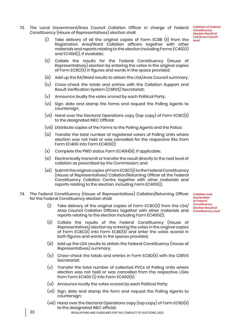73. The Local Government/Area Council Collation Officer in charge of Federal Constituency (House of Representatives) election shall:

*Collation of Federal Constituency Election Result at LGA/Area Council level*

- Take delivery of all the original copies of Form EC8B (II) from the Registration Area/Ward Collation officers together with other materials and reports relating to the election including Forms EC40(G) and EC40H(I), if available;
- (ii) Collate the results for the Federal Constituency (House of Representatives) election by entering the votes in the original copies of Form EC8C(II) in figures and words in the space provided;
- (iii) Add up the RA/Ward results to obtain the LGA/Area Council summary;
- (iv) Cross-check the totals and entries with the Collation Support and Result Verification System (CSRVS) Secretariat;
- (v) Announce loudly the votes scored by each Political Party;
- (vi) Sign, date and stamp the forms and request the Polling Agents to countersign;
- (vii) Hand over the Electoral Operations copy (top copy) of Form EC8C(II) to the designated INEC Official;
- (viii) Distribute copies of the Forms to the Polling Agents and the Police;
- (ix) Transfer the total number of registered voters of Polling Units where election was not held or was cancelled for the respective RAs from Form EC40G into Form EC40G(I);
- $(x)$  Complete the PWD status Form EC40H(III), if applicable;
- (xi) Electronically transmit or transfer the result directly to the next level of collation as prescribed by the Commission; and
- (xii) Submit the original copies of Form EC8C(II) to the Federal Constituency (House of Representatives) Collation/Returning Officer at the Federal Constituency Collation Centre together with other materials and reports relating to the election, including Form EC40G(I).
- 74. The Federal Constituency (House of Representatives) Collation/Returning Officer for the Federal Constituency election shall:
	- (i) Take delivery of the original copies of Form EC8C(II) from the LGA/ Area Council Collation Officers together with other materials and *Constituency Level*reports relating to the election including Form EC40G(I);
	- (ii) Collate the results of the Federal Constituency (House of Representatives) election by entering the votes in the original copies of Form EC8C(II) into Form EC8D(II) and enter the votes scored in both figures and words in the spaces provided;
	- (iii) Add up the LGA results to obtain the Federal Constituency (House of Representatives) summary;
	- (iv) Cross-check the totals and entries in Form EC8D(II) with the CSRVS Secretariat;
	- (v) Transfer the total number of collected PVCs of Polling Units where election was not held or was cancelled from the respective LGAs from Form EC40G (I) into Form EC40G(II);
	- (vi) Announce loudly the votes scored by each Political Party;
	- (vii) Sign, date and stamp the form and request the Polling Agents to countersign;
	- (viii) Hand over the Electoral Operations copy (top copy) of Form EC8D(II) to the designated INEC official;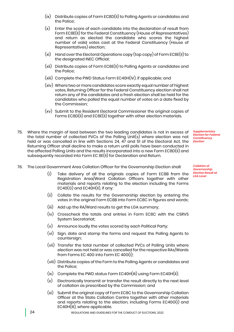- (ix) Distribute copies of Form EC8D(II) to Polling Agents or candidates and the Police;
- (x) Enter the score of each candidate into the declaration of result from Form EC8E(II) for the Federal Constituency (House of Representatives) and return as elected the candidate who scores the highest number of valid votes cast at the Federal Constituency (House of Representatives) election;
- (xi) Hand over the Electoral Operations copy (top copy) of Form EC8E(II) to the designated INEC Official;
- (xii) Distribute copies of Form EC8E(II) to Polling Agents or candidates and the Police;
- (xiii) Complete the PWD Status Form EC40H(IV), if applicable; and
- (xiv) Where two or more candidates score exactly equal number of highest votes, Returning Officer for the Federal Constituency election shall not return any of the candidates and a fresh election shall be held for the candidates who polled the equal number of votes on a date fixed by the Commission;
- (xv) Submit to the Resident Electoral Commissioner the original copies of Forms EC8D(II) and EC8E(II) together with other election materials.
- 75. Where the margin of lead between the two leading candidates is not in excess of the total number of collected PVCs of the Polling Unit(s) where election was not held or was cancelled in line with Sections 24, 47 and 51 of the Electoral Act, the Returning Officer shall decline to make a return until polls have been conducted in the affected Polling Units and the results incorporated into a new Form EC8D(II) and subsequently recorded into Form EC 8E(II) for Declaration and Return.

*Supplementary Election for Federal Constituency Election*

*Collation of Governorship Election Result at LGA Level*

- 76. The Local Government Area Collation Officer for the Governorship Election shall:
	- (i) Take delivery of all the originals copies of Form EC8B from the Registration Area/Ward Collation Officers together with other materials and reports relating to the election including the Forms  $EC40(G)$  and  $EC40H(II)$ , if any;
	- (ii) Collate the results for the Governorship election by entering the votes in the original Form EC8B into Form EC8C in figures and words;
	- (iii) Add up the RA/Ward results to get the LGA summary;
	- (iv) Crosscheck the totals and entries in Form EC8C with the CSRVS System Secretariat;
	- (v) Announce loudly the votes scored by each Political Party;
	- (vi) Sign, date and stamp the forms and request the Polling Agents to countersign;
	- (vii) Transfer the total number of collected PVCs of Polling Units where election was not held or was cancelled for the respective RAs/Wards from Forms EC 40G into Form EC 40G(I);
	- (viii) Distribute copies of the Form to the Polling Agents or candidates and the Police;
	- (ix) Complete the PWD status Form EC40H(III) using Form EC40H(II);
	- (x) Electronically transmit or transfer the result directly to the next level of collation as prescribed by the Commission; and
	- (xi) Submit the original copy of Form EC8C to the Governorship Collation Officer at the State Collation Centre together with other materials and reports relating to the election, including Forms EC40G(I) and EC40H(III), where applicable.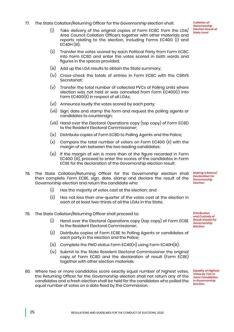figures in the spaces provided;

 $EC40H$  (III):

77. The State Collation/Returning Officer for the Governorship election shall:

- (iii) Add up the LGA results to obtain the State summary;
- (iv) Cross-check the totals of entries in Form EC8C with the CSRVS Secretariat;

(i) Take delivery of the original copies of Form EC8C from the LGA/ Area Council Collation Officers together with other materials and reports relating to the election, including Forms EC40G (I) and

(ii) Transfer the votes scored by each Political Party from Form EC8C into Form EC8D and enter the votes scored in both words and

- (v) Transfer the total number of collected PVCs of Polling Units where election was not held or was cancelled from Form EC40G(I) into Form EC40G(II) in respect of all LGAs;
- (vi) Announce loudly the votes scored by each party;
- (vii) Sign, date and stamp the form and request the polling agents or candidates to countersign;
- (viii) Hand over the Electoral Operations copy (top copy) of Form EC8D to the Resident Electoral Commissioner;
- (ix) Distribute copies of Form EC8D to Polling Agents and the Police;
- (x) Compare the total number of voters on Form EC40G (II) with the margin of win between the two leading candidates;
- (xi) If the margin of win is more than of the figure recorded in Form EC40G (III), proceed to enter the scores of the candidates in Form EC8E for the declaration of the Governorship election result;
- 78. The State Collation/Returning Officer for the Governorship election shall then complete Form EC8E, sign, date, stamp and declare the result of the Governorship election and return the candidate who: *Making a Return/ Declaration for Governorship Election*
	- (i) Has the majority of votes cast at the election; and
	- (ii) Has not less than one-quarter of the votes cast at the election in each of at least two-thirds of all the LGAs in the State.
- 79. The State Collation/Returning Officer shall proceed to:
	- (i) Hand over the Electoral Operations copy (top copy) of Form EC8E to the Resident Electoral Commissioner;
	- (ii) Distribute copies of Form EC8E to Polling Agents or candidates of each party in the election and the Police;
	- (iii) Complete the PWD status Form EC40(H) using Form EC40H(III);
	- (iv) Submit to the State Resident Electoral Commissioner the original copy of Form EC8D and the declaration of result (Form EC8E) together with other election materials.
- 80. Where two or more candidates score exactly equal number of highest votes, the Returning Officer for the Governorship election shall not return any of the candidates and a fresh election shall be held for the candidates who polled the equal number of votes on a date fixed by the Commission

*Distribution and Custody of Result Sheets for* 

*Governorship Election*

*Equality of Highest Votes by Two or more Candidates in Governorship Election*

*Collation of Governorship Election Result at State Level*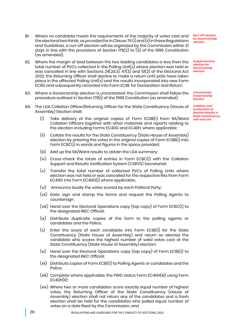- 81. Where no candidate meets the requirements of the majority of votes cast and the electoral two thirds, as provided for in Clause 76 (i) and (ii) in these Regulations and Guidelines, a run-off election will be organized by the Commission within 21 days in line with the provisions of Section 179(2) to (5) of the 1999 Constitution (as amended).
- 82. Where the margin of lead between the two leading candidates is less than the total number of PVCs collected in the Polling Unit(s) where election was held or was cancelled in line with Sections  $24(283)$ ,  $47(3)$  and  $51(2)$  of the Electoral Act 2022, the Returning Officer shall decline to make a return until polls have taken place in the affected Polling Unit(s) and the results incorporated into new Form EC8D and subsequently recorded into Form EC8E for Declaration and Return.
- 83. Where a Governorship election is uncontested, the Commission shall follow the procedure outlined in Section 179(1) of the 1999 Constitution (as amended).
- 84. The LGA Collation Officer/Returning Officer for the State Constituency (House of Assembly) Election shall:
	- (i) Take delivery of the original copies of Form EC8B(I) from RA/Ward Collation Officers together with other materials and reports relating to the election including Forms EC40G and EC40H, where applicable;
	- (ii) Collate the results for the State Constituency (State House of Assembly) election by entering the votes in the original copies of Form EC8B(I) into Form EC8C(I) in words and figures in the space provided;
	- (iii) Add up the RA/Ward results to obtain the LGA summary;
	- (iv) Cross-check the totals of entries in Form EC8C(I) with the Collation Support and Results Verification System (CSRVS) Secretariat;
	- (v) Transfer the total number of collected PVCs of Polling Units where election was not held or was cancelled for the respective RAs from Form EC40G into Form EC40G(I) where applicable;
	- (vi) Announce loudly the votes scored by each Political Party;
	- (vii) Date, sign and stamp the forms and request the Polling Agents to countersign;
	- (viii) Hand over the Electoral Operations copy (top copy) of Form EC8C(I) to the designated INEC Official;
	- (ix) Distribute duplicate copies of the form to the polling agents or candidates and the Police;
	- (x) Enter the score of each candidate into Form EC8E(I) for the State Constituency (State House of Assembly) and return as elected the candidate who scores the highest number of valid votes cast at the State Constituency (State House of Assembly) election;
	- (xi) Hand over the Electoral Operations copy (top copy) of Form EC8E(I) to the designated INEC Official;
	- (xii) Distribute copies of Form EC8E(I) to Polling Agents or candidates and the Police;
	- (xiii) Complete where applicable, the PWD status Form EC40H(III) using Form  $EC40H(II)$ :
	- (xiv) Where two or more candidates score exactly equal number of highest votes, the Returning Officer of the State Constituency (House of Assembly) election shall not return any of the candidates and a fresh election shall be held for the candidates who polled equal number of votes on a date fixed by the Commission; and

*Run-off election for Governorship election*

*Supplementary election for Governorship election*

*Uncontested Governorship Election*

*Collation and Declaration of Election Results in State Constituency with one LGA*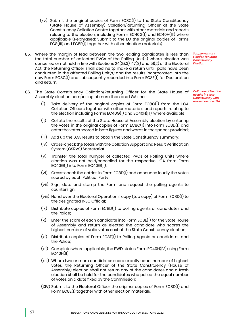- (xv) Submit the original copies of Form EC8C(I) to the State Constituency (State House of Assembly) Collation/Returning Officer at the State Constituency Collation Centre together with other materials and reports relating to the election, including Forms EC40G(I) and EC40H(III) where applicable (Rephrased: Submit to the EO the original copies of Forms EC8(III) and EC8E(I) together with other election materials).
- 85. Where the margin of lead between the two leading candidates is less than the total number of collected PVCs of the Polling Unit(s) where election was cancelled or not held in line with Sections 24(2&3), 47(3) and 51(2) of the Electoral *Election* Act, the Returning Officer shall decline to make a return until polls have been conducted in the affected Polling Unit(s) and the results incorporated into the new Form EC8C(I) and subsequently recorded into Form EC8E(I) for Declaration and Return.
- 86. The State Constituency Collation/Returning Officer for the State House of *Collation of Election*  Assembly election comprising of more than one LGA shall:
	- (i) Take delivery of the original copies of Form EC8C(I) from the LGA Collation Officers together with other materials and reports relating to the election including Forms EC40G(I) and EC40H(III), where available;
	- (ii) Collate the results of the State House of Assembly election by entering the votes in the original copies of Form EC8C(I) into Form EC8D(I) and enter the votes scored in both figures and words in the spaces provided;
	- (iii) Add up the LGA results to obtain the State Constituency summary;
	- (iv) Cross-check the totals with the Collation Support and Result Verification System (CSRVS) Secretariat;
	- (v) Transfer the total number of collected PVCs of Polling Units where election was not held/cancelled for the respective LGA from Form EC40G(I) into Form EC40G(II);
	- (vi) Cross-check the entries in Form EC8D(I) and announce loudly the votes scored by each Political Party;
	- (vii) Sign, date and stamp the Form and request the polling agents to countersign;
	- (viii) Hand over the Electoral Operations' copy (top copy) of Form EC8D(I) to the designated INEC Official;
	- (ix) Distribute copies of Form EC8D(I) to polling agents or candidates and the Police;
	- (x) Enter the score of each candidate into Form EC8E(I) for the State House of Assembly and return as elected the candidate who scores the highest number of valid votes cast at the State Constituency election;
	- (xi) Distribute copies of Form EC8E(I) to Polling Agents or candidates and the Police;
	- (xii) Complete where applicable, the PWD status Form EC40H(IV) using Form  $EC40H(II)$ ;
	- (xiii) Where two or more candidates score exactly equal number of highest votes, the Returning Officer of the State Constituency (House of Assembly) election shall not return any of the candidates and a fresh election shall be held for the candidates who polled the equal number of votes on a date fixed by the Commission;
	- (XIV) Submit to the Electoral Officer the original copies of Form EC8D(I) and Form EC8E(I) together with other election materials.

*Supplementary Election for State Constituency* 

*Results in State Constituency with more than one LGA*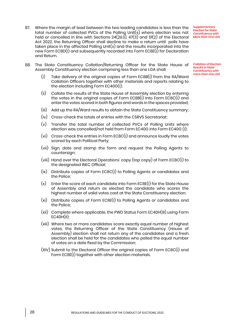87. Where the margin of lead between the two leading candidates is less than the total number of collected PVCs of the Polling Unit(s) where election was not held or cancelled in line with Sections 24(2&3), 47(3) and 51(2) of the Electoral Act 2022, the Returning Officer shall decline to make a return until polls have taken place in the affected Polling Unit(s) and the results incorporated into the new Form EC8D(I) and subsequently recorded into Form EC8E(I) for Declaration and Return.

88. The State Constituency Collation/Returning Officer for the State House of *Collation of Election*  Assembly Constituency election comprising less than one LGA shall:

- (i) Take delivery of the original copies of Form EC8B(I) from the RA/Ward Collation Officers together with other materials and reports relating to the election including Form EC40G(I);
- (ii) Collate the results of the State House of Assembly election by entering the votes in the original copies of Form EC8B(I) into Form EC8C(I) and enter the votes scored in both figures and words in the spaces provided;
- (iii) Add up the RA/Ward results to obtain the State Constituency summary;
- (iv) Cross-check the totals of entries with the CSRVS Secretariat;
- (v) Transfer the total number of collected PVCs of Polling Units where election was cancelled/not held from Form EC40G into Form EC40G (I);
- (vi) Cross-check the entries in Form EC8C(I) and announce loudly the votes scored by each Political Party;
- (vii) Sign, date and stamp the form and request the Polling Agents to countersign;
- (viii) Hand over the Electoral Operations' copy (top copy) of Form EC8C(I) to the designated INEC Official;
- (ix) Distribute copies of Form EC8C(I) to Polling Agents or candidates and the Police;
- (x) Enter the score of each candidate into Form EC8E(I) for the State House of Assembly and return as elected the candidate who scores the highest number of valid votes cast at the State Constituency election;
- (xi) Distribute copies of Form EC8E(I) to Polling Agents or candidates and the Police;
- (xii) Complete where applicable, the PWD Status Form EC40H(III) using Form  $EC40H(II)$ :
- (xiii) Where two or more candidates score exactly equal number of highest votes, the Returning Officer of the State Constituency (House of Assembly) election shall not return any of the candidates and a fresh election shall be held for the candidates who polled the equal number of votes on a date fixed by the Commission;
- (XIV) Submit to the Electoral Officer the original copies of Form EC8C(I) and Form EC8E(I) together with other election materials.

*Supplementary Election for State Constituency with More than One LGA*

*Results in State Constituency with more than one LGA*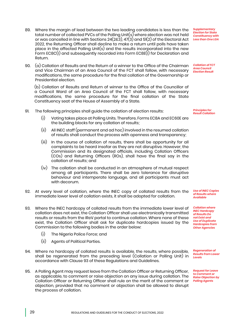- 89. Where the margin of lead between the two leading candidates is less than the total number of collected PVCs of the Polling Unit(s) where election was not held or was cancelled in line with Sections 24(2&3), 47(3) and 51(2) of the Electoral Act 2022, the Returning Officer shall decline to make a return until polls have taken place in the affected Polling Unit(s) and the results incorporated into the new Form EC8C(I) and subsequently recorded into Form EC8E(I) for Declaration and Return.
- 90. (a) Collation of Results and the Return of a winner to the Office of the Chairman and Vice Chairman of an Area Council of the FCT shall follow, with necessary modifications, the same procedure for the final collation of the Governorship or Presidential election.

(b) Collation of Results and Return of winner to the Office of the Councillor of a Council Ward of an Area Council of the FCT shall follow, with necessary modifications, the same procedure for the final collation of the State Constituency seat of the House of Assembly of a State.

- 91. The following principles shall guide the collation of election results:
	- (i) Voting takes place at Polling Units. Therefore, Forms EC8A and EC60E are the building blocks for any collation of results;
	- (ii) All INEC staff (permanent and ad hoc) involved in the resumed collation of results shall conduct the process with openness and transparency;
	- (iii) In the course of collation of results, there shall be opportunity for all complaints to be heard insofar as they are not disruptive. However, the Commission and its designated officials, including Collation Officers (COs) and Returning Officers (ROs), shall have the final say in the collation of results; and
	- (iv) The collation shall be conducted in an atmosphere of mutual respect among all participants. There shall be zero tolerance for disruptive behaviour and intemperate language, and all participants must act with decorum.
- 92. At every level of collation, where the INEC copy of collated results from the immediate lower level of collation exists, it shall be adopted for collation.
- 93. Where the INEC hardcopy of collated results from the immediate lower level of collation does not exist, the Collation Officer shall use electronically transmitted results or results from the IReV portal to continue collation. Where none of these exist, the Collation Officer shall ask for duplicate hardcopies issued by the Commission to the following bodies in the order below:
	- (i) The Nigeria Police Force; and
	- (ii) Agents of Political Parties.
- 94. Where no hardcopy of collated results is available, the results, where possible, shall be regenerated from the preceding level (Collation or Polling Unit) in accordance with Clause 93 of these Regulations and Guidelines.
- 95. A Polling Agent may request leave from the Collation Officer or Returning Officer, as applicable, to comment or raise objection on any issue during collation. The Collation Officer or Returning Officer shall rule on the merit of the comment or objection, provided that no comment or objection shall be allowed to disrupt the process of collation.

*Supplementary Election for State Constituency with Less than One LGA*

*Collation of FCT Area Council Election Result*

*Principles for Result Collation*

*Use of INEC Copies of Results where Available*

*Collation where INEC Hardcopy of Results Do not Exist and Use of Duplicate Hardcopies from Other Agencies*

*Regeneration of Results from Lower Levels*

*Request for Leave to Comment or Raise Objection by Polling Agents*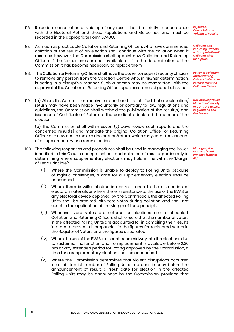- 96. Rejection, cancellation or voiding of any result shall be strictly in accordance with the Electoral Act and these Regulations and Guidelines and must be recorded in the appropriate Form EC40G.
- 97. As much as practicable, Collation and Returning Officers who have commenced collation of the result of an election shall continue with the collation when it resumes. However, the Commission shall appoint new Collation and Returning Officers if the former ones are not available or if in the determination of the Commission it has become necessary to replace them.
- 98. The Collation or Returning Officer shall have the power to request security officials to remove any person from the Collation Centre who, in his/her determination, is acting in a disruptive manner. Such a person may be readmitted, with the approval of the Collation or Returning Officer upon assurance of good behaviour.
- 99.  $\alpha$  Where the Commission receives a report and it is satisfied that a declaration return may have been made involuntarily or contrary to law, regulations and guidelines, the Commission shall withhold the publication of the result(s) and issuance of Certificate of Return to the candidate declared the winner of the election.

(b) The Commission shall within seven (7) days review such reports and the concerned result(s) and mandate the original Collation Officer or Returning Officer or a new one to make a declaration/return, which may entail the conduct of a supplementary or a rerun election.

- 100. The following responses and procedures shall be used in managing the issues identified in this Clause during elections and collation of results, particularly in determining where supplementary elections may hold in line with the "Margin of Lead Principle":
	- (i) Where the Commission is unable to deploy to Polling Units because of logistic challenges, a date for a supplementary election shall be announced.
	- (ii) Where there is wilful obstruction or resistance to the distribution of electoral materials or where there is resistance to the use of the BVAS or any electoral device deployed by the Commission, the affected Polling Units shall be credited with zero votes during collation and shall not count in the application of the Margin of Lead principle.
	- (iii) Whenever zero votes are entered or elections are rescheduled, Collation and Returning Officers shall ensure that the number of voters in the affected Polling Units are accounted for in compiling their results in order to prevent discrepancies in the figures for registered voters in the Register of Voters and the figures as collated.
	- (iv) Where the use of the BVAS is discontinued midway into the elections due to sustained malfunction and no replacement is available before 2:30 pm or any extended period for voting approved by the Commission, a time for a supplementary election shall be announced.
	- (v) Where the Commission determines that violent disruptions occurred in a substantial number of Polling Units in a constituency before the announcement of result, a fresh date for election in the affected Polling Units may be announced by the Commission, provided that

*Rejection, Cancellation or Voiding of Results*

*Collation and Returning Officers to Complete Result Collation after Disruption*

*Power of Collation and Returning Officers to Remove Persons from the Collation Centre*

*Declaration/Return Made Involuntarily or Contrary to Law, Regulations and Guidelines*

*Managing the Margin of Lead Principle [Clause 62]*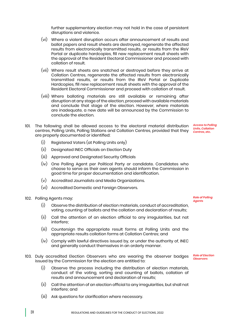further supplementary election may not hold in the case of persistent disruptions and violence.

- (vi) Where a violent disruption occurs after announcement of results and ballot papers and result sheets are destroyed, regenerate the affected results from electronically transmitted results, or results from the IReV Portal or duplicate hardcopies, fill new replacement result sheets with the approval of the Resident Electoral Commissioner and proceed with collation of result.
- (vii) Where result sheets are snatched or destroyed before they arrive at Collation Centres, regenerate the affected results from electronically transmitted results, or results from the IReV Portal or Duplicate Hardcopies, fill new replacement result sheets with the approval of the Resident Electoral Commissioner and proceed with collation of result.
- (viii) Where balloting materials are still available or remaining after disruption at any stage of the election, proceed with available materials and conclude that stage of the election. However, where materials are inadequate, a new date will be announced by the Commission to conclude the election.
- 101. The following shall be allowed access to the electoral material distribution *Access to Polling*  centres, Polling Units, Polling Stations and Collation Centres, provided that they *Units, Collation Centres, etc.* are properly documented or identified:
	- (i) Registered Voters (at Polling Units only)
	- (ii) Designated INEC Officials on Election Duty
	- (iii) Approved and Designated Security Officials
	- (iv) One Polling Agent per Political Party or candidate. Candidates who choose to serve as their own agents should inform the Commission in good time for proper documentation and identification.
	- (v) Accredited Journalists and Media Organizations.
	- (vi) Accredited Domestic and Foreign Observers.

102. Polling Agents may:

- (i) Observe the distribution of election materials, conduct of accreditation, voting, counting of ballots and the collation and declaration of results;
- (ii) Call the attention of an election official to any irregularities, but not interfere;
- (iii) Countersign the appropriate result forms at Polling Units and the appropriate results collation forms at Collation Centres; and
- (iv) Comply with lawful directives issued by, or under the authority of, INEC and generally conduct themselves in an orderly manner.
- 103. Duly accredited Election Observers who are wearing the observer badges issued by the Commission for the election are entitled to:
	- (i) Observe the process including the distribution of election materials, conduct of the voting, sorting and counting of ballots, collation of results and announcement and declaration of results;
	- (ii) Call the attention of an election official to any irregularities, but shall not interfere; and
	- (iii) Ask questions for clarification where necessary.

*Role of Polling Agents*

*Role of Election Observers*

31 REGULATIONS AND GUIDELINES FOR THE CONDUCT OF ELECTIONS, 2022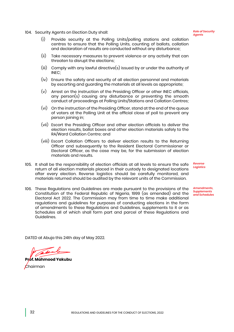104. Security Agents on Election Duty shall:

#### *Role of Security Agents*

- (i) Provide security at the Polling Units/polling stations and collation centres to ensure that the Polling Units, counting of ballots, collation and declaration of results are conducted without any disturbance;
- (ii) Take necessary measures to prevent violence or any activity that can threaten to disrupt the elections;
- (iii) Comply with any lawful directive(s) issued by or under the authority of INEC;
- (iv) Ensure the safety and security of all election personnel and materials by escorting and guarding the materials at all levels as appropriate;
- (v) Arrest on the instruction of the Presiding Officer or other INEC officials, any person(s) causing any disturbance or preventing the smooth conduct of proceedings at Polling Units/Stations and Collation Centres;
- (vi) On the instruction of the Presiding Officer, stand at the end of the queue of voters at the Polling Unit at the official close of poll to prevent any person joining in;
- (vii) Escort the Presiding Officer and other election officials to deliver the election results, ballot boxes and other election materials safely to the RA/Ward Collation Centre; and
- (viii) Escort Collation Officers to deliver election results to the Returning Officer and subsequently to the Resident Electoral Commissioner or Electoral Officer, as the case may be, for the submission of election materials and results.
- 105. It shall be the responsibility of election officials at all levels to ensure the safe return of all election materials placed in their custody to designated locations after every election. Reverse logistics should be carefully monitored, and materials returned should be audited by the relevant units of the Commission.
- 106. These Regulations and Guidelines are made pursuant to the provisions of the Constitution of the Federal Republic of Nigeria, 1999 (as amended) and the Electoral Act 2022. The Commission may from time to time make additional regulations and guidelines for purposes of conducting elections in the form of amendments to these Regulations and Guidelines, supplements to it or as Schedules all of which shall form part and parcel of these Regulations and Guidelines.

*Reverse Logistics*

*Amendments, Supplements and Schedules*

DATED at Abuja this 24th day of May 2022.

**Prof. Mahmood Yakubu**  $\epsilon$ hairman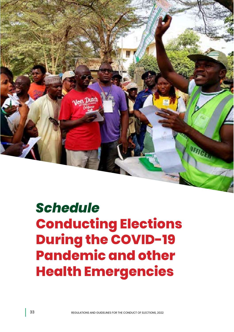

# *Schedule*  **Conducting Elections During the COVID-19 Pandemic and other Health Emergencies**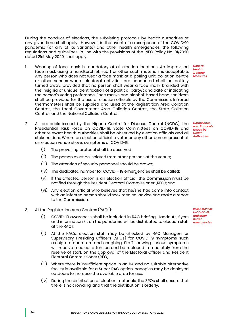During the conduct of elections, the subsisting protocols by health authorities at any given time shall apply. However, in the event of a resurgence of the COVID-19 pandemic (or any of its variants) and other health emergencies, the following regulations and guidelines, in line with the provisions of the INEC Policy No. 01/2020 dated 21st May 2020, shall apply.

- 1. Wearing of face mask is mandatory at all election locations. An improvised face mask using a handkerchief, scarf or other such materials is acceptable. *Health & Safety*  Any person who does not wear a face mask at a polling unit, collation centre or other venues where electoral activities are conducted shall be politely turned away, provided that no person shall wear a face mask branded with the insignia or unique identification of a political party/candidate or indicating the person's voting preference. Face masks and alcohol-based hand sanitizers shall be provided for the use of election officials by the Commission. Infrared thermometers shall be supplied and used at the Registration Area Collation Centres, the Local Government Area Collation Centres, the State Collation Centres and the National Collation Centre.
- 2. All protocols issued by the Nigeria Centre for Disease Control (NCDC), the Presidential Task Force on COVID-19, State Committees on COVID-19 and other relevant health authorities shall be observed by election officials and all stakeholders. Where an election official, a voter or any other person present at an election venue shows symptoms of COVID-19:
	- (i) The prevailing protocol shall be observed;
	- (ii) The person must be isolated from other persons at the venue;
	- (iii) The attention of security personnel should be drawn;
	- (iv) The dedicated number for COVID 19 emergencies shall be called;
	- (v) If the affected person is an election official, the Commission must be notified through the Resident Electoral Commissioner (REC); and
	- (vi) Any election official who believes that he/she has come into contact with an infected person should seek medical advice and make a report to the Commission.
- 3. At the Registration Area Centres (RACs):
	- (i) COVID-19 awareness shall be included in RAC briefing. Handouts, flyers and information kit on the pandemic will be distributed to election staff *health emergencies* at the RACs.
	- (ii) At the RACs, election staff may be checked by RAC Managers or Supervisory Presiding Officers (SPOs) for COVID-19 symptoms such as high temperature and coughing. Staff showing serious symptoms will receive medical attention and be replaced immediately from the reserve of staff, on the approval of the Electoral Officer and Resident Electoral Commissioner (REC).
	- (iii) Where there is insufficient space in an RA and no suitable alternative facility is available for a Super RAC option, canopies may be deployed outdoors to increase the available area for use.
	- (iv) During the distribution of election materials, the SPOs shall ensure that there is no crowding, and that the distribution is orderly.

*RAC Activities in COVID-19 and other* 

*General Measures*

*Compliance with Protocols Issued by Health Authorities*

34 REGULATIONS AND GUIDELINES FOR THE CONDUCT OF ELECTIONS, 2022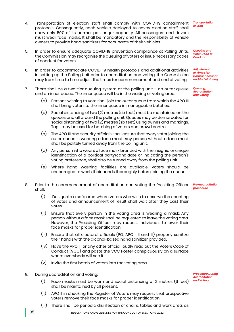- 4. Transportation of election staff shall comply with COVID-19 containment protocols. Consequently, each vehicle deployed to covey election staff shall carry only 50% of its normal passenger capacity. All passengers and drivers must wear face masks. It shall be mandatory and the responsibility of vehicle owners to provide hand sanitizers for occupants of their vehicles.
- 5. In order to ensure adequate COVID-19 prevention compliance at Polling Units, the Commission may reorganize the queuing of voters or issue necessary codes of conduct for voters.
- 6. In order to accommodate COVID-19 health protocols and additional activities in setting up the Polling Unit prior to accreditation and voting, the Commission may from time to time adjust the times for commencement and end of voting.
- 7. There shall be a two-tier queuing system at the polling unit an outer queue and an inner queue. The inner queue will be in the waiting or voting area.
	- (a) Persons wishing to vote shall join the outer queue from which the APO III shall bring voters to the inner queue in manageable batches.
	- (b) Social distancing of two (2) metres (six feet) must be maintained on the queues and all around the polling unit. Queues may be demarcated for social distancing of two (2) metres (six feet) using twines and markings. Tags may be used for batching of voters and crowd control.
	- (c) The APO III and security officials shall ensure that every voter joining the outer queue is wearing a face mask. Any person without a face mask shall be politely turned away from the polling unit.
	- (d) Any person who wears a face mask branded with the insignia or unique identification of a political party/candidate or indicating the person's voting preference, shall also be turned away from the polling unit.
	- (e) Where hand washing facilities are available, voters should be encouraged to wash their hands thoroughly before joining the queue.
- 8. Prior to the commencement of accreditation and voting the Presiding Officer shall:
	- (i) Designate a safe area where voters who wish to observe the counting of votes and announcement of result shall wait after they cast their votes.
	- (ii) Ensure that every person in the voting area is wearing a mask. Any person without a face mask shall be requested to leave the voting area. However, the Presiding Officer may request individuals to lower their face masks for proper identification.
	- (iii) Ensure that all electoral officials (PO, APO I, II and III) properly sanitize their hands with the alcohol-based hand sanitizer provided.
	- (iv) Have the APO III or any other official loudly read out the Voters Code of Conduct (VCC) and paste the VCC Poster conspicuously on a surface where everybody will see it.
	- (v) Invite the first batch of voters into the voting area.
- 9. During accreditation and voting:
	- (i) Face masks must be worn and social distancing of 2 metres (6 feet) shall be maintained by all present.
	- (ii) APO II in checking the Register of Voters may request that prospective voters remove their face masks for proper identification.
	- (iii) There shall be periodic disinfection of chairs, tables and work area, as

*Transportation of Staff*

*Queuing and Voter Code of Conduct*

*Adjustment of Times for Commencement and End of Voting*

*Queuing, Accreditation and Voting*

*Pre-accreditation procedure*

*Procedure During Accreditation and Voting*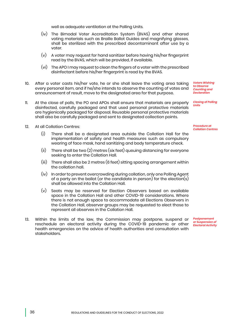well as adequate ventilation at the Polling Units.

- (iv) The Bimodal Voter Accreditation System (BVAS) and other shared voting materials such as Braille Ballot Guides and magnifying glasses, shall be sterilized with the prescribed decontaminant after use by a voter.
- (v) A voter may request for hand sanitizer before having his/her fingerprint read by the BVAS, which will be provided, if available.
- (vi) The APO I may request to clean the fingers of a voter with the prescribed disinfectant before his/her fingerprint is read by the BVAS.
- 10. After a voter casts his/her vote, he or she shall leave the voting area taking every personal item, and if he/she intends to observe the counting of votes and announcement of result, move to the designated area for that purpose.
- 11. At the close of polls, the PO and APOs shall ensure that materials are properly disinfected, carefully packaged and that used personal protective materials are hygienically packaged for disposal. Reusable personal protective materials shall also be carefully packaged and sent to designated collection points.
- 12. At all Collation Centres:
	- (i) There shall be a designated area outside the Collation Hall for the implementation of safety and health measures such as compulsory wearing of face mask, hand sanitizing and body temperature check.
	- (ii) There shall be two (2) metres (six feet) queuing distancing for everyone seeking to enter the Collation Hall.
	- (iii) There shall also be 2 metres (6 feet) sitting spacing arrangement within the collation hall.
	- (iv) In order to prevent overcrowding during collation, only one Polling Agent of a party on the ballot (or the candidate in person) for the election(s) shall be allowed into the Collation Hall.
	- (v) Seats may be reserved for Election Observers based on available space in the Collation Hall and other COVID-19 considerations. Where there is not enough space to accommodate all Elections Observers in the Collation Hall, observer groups may be requested to elect those to represent all observes in the Collation Hall.
- 13. Within the limits of the law, the Commission may postpone, suspend or reschedule an electoral activity during the COVID-19 pandemic or other health emergencies on the advice of health authorities and consultation with stakeholders.

*Voters Wishing to Observe Counting and Declaration*

*Closing of Polling Units*

*Procedure at Collation Centres*

*Postponement or Suspension of Electoral Activity*